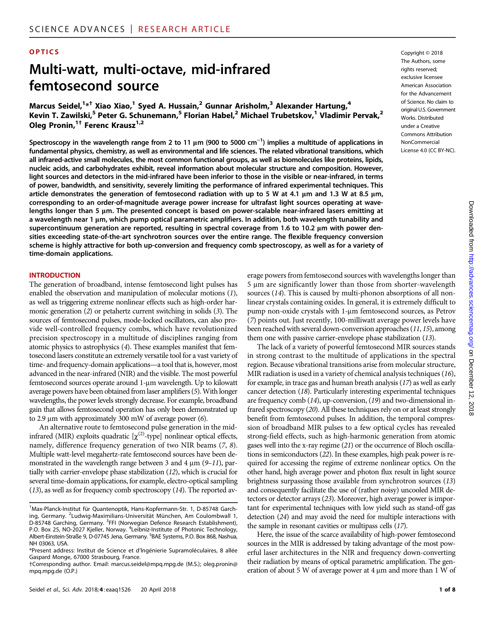#### OPTICS Copyright © 2018

# Multi-watt, multi-octave, mid-infrared femtosecond source

Marcus Seidel,<sup>1\*†</sup> Xiao Xiao,<sup>1</sup> Syed A. Hussain,<sup>2</sup> Gunnar Arisholm,<sup>3</sup> Alexander Hartung,<sup>4</sup> Kevin T. Zawilski,<sup>5</sup> Peter G. Schunemann,<sup>5</sup> Florian Habel,<sup>2</sup> Michael Trubetskov,<sup>1</sup> Vladimir Pervak,<sup>2</sup> Oleg Pronin,<sup>1†</sup> Ferenc Krausz<sup>1,2</sup>

Spectroscopy in the wavelength range from 2 to 11  $\mu$ m (900 to 5000 cm<sup>-1</sup>) implies a multitude of applications in fundamental physics, chemistry, as well as environmental and life sciences. The related vibrational transitions, which all infrared-active small molecules, the most common functional groups, as well as biomolecules like proteins, lipids, nucleic acids, and carbohydrates exhibit, reveal information about molecular structure and composition. However, light sources and detectors in the mid-infrared have been inferior to those in the visible or near-infrared, in terms of power, bandwidth, and sensitivity, severely limiting the performance of infrared experimental techniques. This article demonstrates the generation of femtosecond radiation with up to 5 W at 4.1  $\mu$ m and 1.3 W at 8.5  $\mu$ m, corresponding to an order-of-magnitude average power increase for ultrafast light sources operating at wavelengths longer than 5  $\mu$ m. The presented concept is based on power-scalable near-infrared lasers emitting at a wavelength near 1  $\mu$ m, which pump optical parametric amplifiers. In addition, both wavelength tunability and supercontinuum generation are reported, resulting in spectral coverage from 1.6 to 10.2 µm with power densities exceeding state-of-the-art synchrotron sources over the entire range. The flexible frequency conversion scheme is highly attractive for both up-conversion and frequency comb spectroscopy, as well as for a variety of time-domain applications.

#### INTRODUCTION

The generation of broadband, intense femtosecond light pulses has enabled the observation and manipulation of molecular motions (1), as well as triggering extreme nonlinear effects such as high-order harmonic generation (2) or petahertz current switching in solids (3). The sources of femtosecond pulses, mode-locked oscillators, can also provide well-controlled frequency combs, which have revolutionized precision spectroscopy in a multitude of disciplines ranging from atomic physics to astrophysics (4). These examples manifest that femtosecond lasers constitute an extremely versatile tool for a vast variety of time- and frequency-domain applications—a tool that is, however, most advanced in the near-infrared (NIR) and the visible. The most powerful femtosecond sources operate around 1-um wavelength. Up to kilowatt average powers have been obtained from laser amplifiers (5). With longer wavelengths, the power levels strongly decrease. For example, broadband gain that allows femtosecond operation has only been demonstrated up to 2.9  $\mu$ m with approximately 300 mW of average power (6).

An alternative route to femtosecond pulse generation in the midinfrared (MIR) exploits quadratic  $[\chi^{(2)}$ -type] nonlinear optical effects, namely, difference frequency generation of two NIR beams (7, 8). Multiple watt-level megahertz-rate femtosecond sources have been demonstrated in the wavelength range between 3 and 4  $\mu$ m (9-11), partially with carrier-envelope phase stabilization (12), which is crucial for several time-domain applications, for example, electro-optical sampling (13), as well as for frequency comb spectroscopy (14). The reported average powers from femtosecond sources with wavelengths longer than 5 µm are significantly lower than those from shorter-wavelength sources (14). This is caused by multi-phonon absorptions of all nonlinear crystals containing oxides. In general, it is extremely difficult to pump non-oxide crystals with 1-um femtosecond sources, as Petrov (7) points out. Just recently, 100-milliwatt average power levels have been reached with several down-conversion approaches (11, 15), among them one with passive carrier-envelope phase stabilization (13).

The lack of a variety of powerful femtosecond MIR sources stands in strong contrast to the multitude of applications in the spectral region. Because vibrational transitions arise from molecular structure, MIR radiation is used in a variety of chemical analysis techniques (16), for example, in trace gas and human breath analysis (17) as well as early cancer detection (18). Particularly interesting experimental techniques are frequency comb (14), up-conversion, (19) and two-dimensional infrared spectroscopy (20). All these techniques rely on or at least strongly benefit from femtosecond pulses. In addition, the temporal compression of broadband MIR pulses to a few optical cycles has revealed strong-field effects, such as high-harmonic generation from atomic gases well into the x-ray regime (21) or the occurrence of Bloch oscillations in semiconductors (22). In these examples, high peak power is required for accessing the regime of extreme nonlinear optics. On the other hand, high average power and photon flux result in light source brightness surpassing those available from synchrotron sources (13) and consequently facilitate the use of (rather noisy) uncooled MIR detectors or detector arrays (23). Moreover, high average power is important for experimental techniques with low yield such as stand-off gas detection (24) and may avoid the need for multiple interactions with the sample in resonant cavities or multipass cells (17).

Here, the issue of the scarce availability of high-power femtosecond sources in the MIR is addressed by taking advantage of the most powerful laser architectures in the NIR and frequency down-converting their radiation by means of optical parametric amplification. The generation of about 5 W of average power at 4  $\mu$ m and more than 1 W of

The Authors, some rights reserved; exclusive licensee American Association for the Advancement of Science. No claim to original U.S. Government Works. Distributed under a Creative Commons Attribution NonCommercial License 4.0 (CC BY-NC).

<sup>&</sup>lt;sup>1</sup>Max-Planck-Institut für Quantenoptik, Hans-Kopfermann-Str. 1, D-85748 Garching, Germany. <sup>2</sup> Ludwig-Maximilians-Universität München, Am Coulombwall 1, D-85748 Garching, Germany. <sup>3</sup>FFI (Norwegian Defence Research Establishment), P.O. Box 25, NO-2027 Kjeller, Norway. <sup>4</sup>Leibniz-Institute of Photonic Technology, Albert-Einstein-Straße 9, D-07745 Jena, Germany. <sup>5</sup>BAE Systems, P.O. Box 868, Nashua, NH 03063, USA.

<sup>\*</sup>Present address: Institut de Science et d'Ingénierie Supramoléculaires, 8 allée Gaspard Monge, 67000 Strasbourg, France.

<sup>†</sup>Corresponding author. Email: marcus.seidel@mpq.mpg.de (M.S.); oleg.pronin@ mpq.mpg.de (O.P.)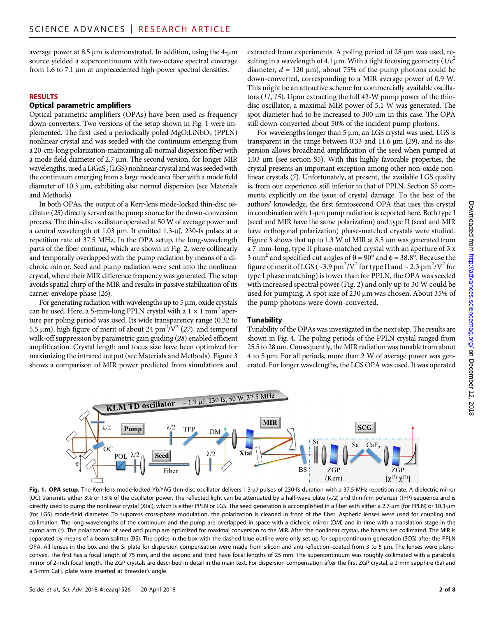average power at  $8.5 \mu m$  is demonstrated. In addition, using the 4- $\mu m$ source yielded a supercontinuum with two-octave spectral coverage from 1.6 to 7.1 µm at unprecedented high-power spectral densities.

#### RESULTS

# Optical parametric amplifiers

Optical parametric amplifiers (OPAs) have been used as frequency down-converters. Two versions of the setup shown in Fig. 1 were implemented. The first used a periodically poled MgO:LiNbO<sub>3</sub> (PPLN) nonlinear crystal and was seeded with the continuum emerging from a 20-cm-long polarization-maintaining all-normal dispersion fiber with a mode field diameter of 2.7 µm. The second version, for longer MIR wavelengths, used a  $LiGaS<sub>2</sub> (LGS)$  nonlinear crystal and was seeded with the continuum emerging from a large mode area fiber with a mode field diameter of 10.3  $\mu$ m, exhibiting also normal dispersion (see Materials and Methods).

In both OPAs, the output of a Kerr-lens mode-locked thin-disc oscillator (25) directly served as the pump source for the down-conversion process. The thin-disc oscillator operated at 50 W of average power and a central wavelength of 1.03  $\mu$ m. It emitted 1.3- $\mu$ J, 230-fs pulses at a repetition rate of 37.5 MHz. In the OPA setup, the long-wavelength parts of the fiber continua, which are shown in Fig. 2, were collinearly and temporally overlapped with the pump radiation by means of a dichroic mirror. Seed and pump radiation were sent into the nonlinear crystal, where their MIR difference frequency was generated. The setup avoids spatial chirp of the MIR and results in passive stabilization of its carrier-envelope phase (26).

For generating radiation with wavelengths up to  $5 \mu m$ , oxide crystals can be used. Here, a 5-mm-long PPLN crystal with a  $1 \times 1$  mm<sup>2</sup> aperture per poling period was used. Its wide transparency range (0.32 to 5.5  $\mu$ m), high figure of merit of about 24 pm<sup>2</sup>/V<sup>2</sup> (27), and temporal walk-off suppression by parametric gain guiding (28) enabled efficient amplification. Crystal length and focus size have been optimized for maximizing the infrared output (see Materials and Methods). Figure 3 shows a comparison of MIR power predicted from simulations and

extracted from experiments. A poling period of 28 µm was used, resulting in a wavelength of 4.1 µm. With a tight focusing geometry  $(1/e^2)$ diameter,  $d = 120 \text{ }\mu\text{m}$ , about 75% of the pump photons could be down-converted, corresponding to a MIR average power of 0.9 W. This might be an attractive scheme for commercially available oscillators (11, 15). Upon extracting the full 42-W pump power of the thindisc oscillator, a maximal MIR power of 5.1 W was generated. The spot diameter had to be increased to 300 µm in this case. The OPA still down-converted about 50% of the incident pump photons.

For wavelengths longer than  $5 \mu m$ , an LGS crystal was used. LGS is transparent in the range between 0.33 and 11.6  $\mu$ m (29), and its dispersion allows broadband amplification of the seed when pumped at 1.03 µm (see section S5). With this highly favorable properties, the crystal presents an important exception among other non-oxide nonlinear crystals (7). Unfortunately, at present, the available LGS quality is, from our experience, still inferior to that of PPLN. Section S5 comments explicitly on the issue of crystal damage. To the best of the authors' knowledge, the first femtosecond OPA that uses this crystal in combination with 1-µm pump radiation is reported here. Both type I (seed and MIR have the same polarization) and type II (seed and MIR have orthogonal polarization) phase-matched crystals were studied. Figure 3 shows that up to  $1.3$  W of MIR at  $8.5$   $\mu$ m was generated from a 7-mm-long, type II phase-matched crystal with an aperture of 3 x 3 mm<sup>2</sup> and specified cut angles of  $\theta = 90^\circ$  and  $\phi = 38.8^\circ$ . Because the figure of merit of LGS (~3.9 pm<sup>2</sup>/V<sup>2</sup> for type II and ~ 2.3 pm<sup>2</sup>/V<sup>2</sup> for type I phase matching) is lower than for PPLN, the OPA was seeded with increased spectral power (Fig. 2) and only up to 30 W could be used for pumping. A spot size of 230 µm was chosen. About 35% of the pump photons were down-converted.

# **Tunability**

Tunability of the OPAs was investigated in the next step. The results are shown in Fig. 4. The poling periods of the PPLN crystal ranged from  $25.5$  to  $28 \mu m$ . Consequently, the MIR radiation was tunable from about  $4$  to 5 µm. For all periods, more than 2 W of average power was generated. For longer wavelengths, the LGS OPA was used. It was operated



Fig. 1. OPA setup. The Kerr-lens mode-locked Yb:YAG thin-disc oscillator delivers 1.3-µJ pulses of 230-fs duration with a 37.5-MHz repetition rate. A dielectric mirror (OC) transmits either 3% or 15% of the oscillator power. The reflected light can be attenuated by a half-wave plate ( $\lambda/2$ ) and thin-film polarizer (TFP) sequence and is directly used to pump the nonlinear crystal (Xtal), which is either PPLN or LGS. The seed generation is accomplished in a fiber with either a 2.7-um (for PPLN) or 10.3-um (for LGS) mode-field diameter. To suppress cross-phase modulation, the polarization is cleaned in front of the fiber. Aspheric lenses were used for coupling and collimation. The long wavelengths of the continuum and the pump are overlapped in space with a dichroic mirror (DM) and in time with a translation stage in the pump arm (t). The polarizations of seed and pump are optimized for maximal conversion to the MIR. After the nonlinear crystal, the beams are collimated. The MIR is separated by means of a beam splitter (BS). The optics in the box with the dashed blue outline were only set up for supercontinuum generation (SCG) after the PPLN OPA. All lenses in the box and the Si plate for dispersion compensation were made from silicon and anti-reflection–coated from 3 to 5  $\mu$ m. The lenses were planoconvex. The first has a focal length of 75 mm, and the second and third have focal lengths of 25 mm. The supercontinuum was roughly collimated with a parabolic mirror of 2-inch focal length. The ZGP crystals are described in detail in the main text. For dispersion compensation after the first ZGP crystal, a 2-mm sapphire (Sa) and a 5-mm CaF<sub>2</sub> plate were inserted at Brewster's angle.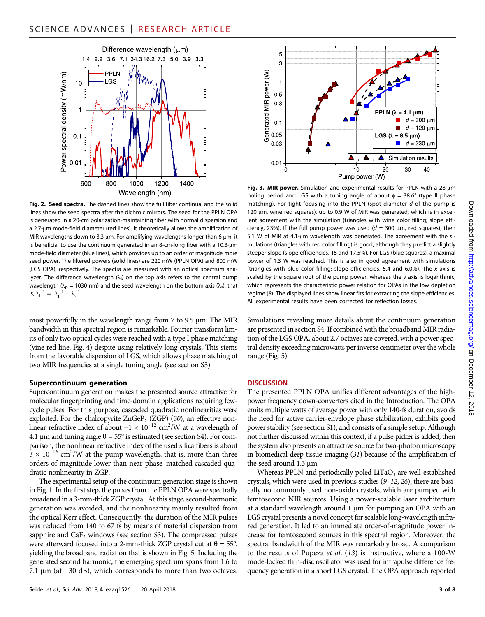

Fig. 2. Seed spectra. The dashed lines show the full fiber continua, and the solid lines show the seed spectra after the dichroic mirrors. The seed for the PPLN OPA is generated in a 20-cm polarization-maintaining fiber with normal dispersion and a 2.7-um mode-field diameter (red lines). It theoretically allows the amplification of MIR wavelengths down to 3.3  $\mu$ m. For amplifying wavelengths longer than 6  $\mu$ m, it is beneficial to use the continuum generated in an 8-cm-long fiber with a 10.3-um mode-field diameter (blue lines), which provides up to an order of magnitude more seed power. The filtered powers (solid lines) are 220 mW (PPLN OPA) and 800 mW (LGS OPA), respectively. The spectra are measured with an optical spectrum analyzer. The difference wavelength ( $\lambda_i$ ) on the top axis refers to the central pump wavelength ( $\lambda_p$  = 1030 nm) and the seed wavelength on the bottom axis ( $\lambda_s$ ), that is,  $\lambda_{i}^{-1} = |\lambda_{p}^{-1} - \lambda_{s}^{-1}|.$ 

most powerfully in the wavelength range from  $7$  to  $9.5 \mu m$ . The MIR bandwidth in this spectral region is remarkable. Fourier transform limits of only two optical cycles were reached with a type I phase matching (vine red line, Fig. 4) despite using relatively long crystals. This stems from the favorable dispersion of LGS, which allows phase matching of two MIR frequencies at a single tuning angle (see section S5).

#### Supercontinuum generation

Supercontinuum generation makes the presented source attractive for molecular fingerprinting and time-domain applications requiring fewcycle pulses. For this purpose, cascaded quadratic nonlinearities were exploited. For the chalcopyrite  $ZnGeP_2$  (ZGP) (30), an effective nonlinear refractive index of about  $-1 \times 10^{-12}$  cm<sup>2</sup>/W at a wavelength of 4.1 µm and tuning angle  $\theta = 55^{\circ}$  is estimated (see section S4). For comparison, the nonlinear refractive index of the used silica fibers is about  $3 \times 10^{-16}$  cm<sup>2</sup>/W at the pump wavelength, that is, more than three orders of magnitude lower than near-phase–matched cascaded quadratic nonlinearity in ZGP.

The experimental setup of the continuum generation stage is shown in Fig. 1. In the first step, the pulses from the PPLN OPA were spectrally broadened in a 3-mm-thick ZGP crystal. At this stage, second-harmonic generation was avoided, and the nonlinearity mainly resulted from the optical Kerr effect. Consequently, the duration of the MIR pulses was reduced from 140 to 67 fs by means of material dispersion from sapphire and  $CaF<sub>2</sub>$  windows (see section S3). The compressed pulses were afterward focused into a 2-mm-thick ZGP crystal cut at  $\theta = 55^{\circ}$ , yielding the broadband radiation that is shown in Fig. 5. Including the generated second harmonic, the emerging spectrum spans from 1.6 to 7.1 μm (at −30 dB), which corresponds to more than two octaves.



Fig. 3. MIR power. Simulation and experimental results for PPLN with a  $28\text{-}\mu\text{m}$ poling period and LGS with a tuning angle of about  $\phi = 38.6^{\circ}$  (type II phase matching). For tight focusing into the PPLN (spot diameter  $d$  of the pump is 120  $\mu$ m, wine red squares), up to 0.9 W of MIR was generated, which is in excellent agreement with the simulation (triangles with wine color filling; slope efficiency, 23%). If the full pump power was used  $(d = 300 \mu m)$ , red squares), then 5.1 W of MIR at 4.1- $\mu$ m wavelength was generated. The agreement with the simulations (triangles with red color filling) is good, although they predict a slightly steeper slope (slope efficiencies, 15 and 17.5%). For LGS (blue squares), a maximal power of 1.3 W was reached. This is also in good agreement with simulations (triangles with blue color filling; slope efficiencies, 5.4 and 6.0%). The x axis is scaled by the square root of the pump power, whereas the y axis is logarithmic, which represents the characteristic power relation for OPAs in the low depletion regime (8). The displayed lines show linear fits for extracting the slope efficiencies. All experimental results have been corrected for reflection losses.

Simulations revealing more details about the continuum generation are presented in section S4. If combined with the broadband MIR radiation of the LGS OPA, about 2.7 octaves are covered, with a power spectral density exceeding microwatts per inverse centimeter over the whole range (Fig. 5).

# **DISCUSSION**

The presented PPLN OPA unifies different advantages of the highpower frequency down-converters cited in the Introduction. The OPA emits multiple watts of average power with only 140-fs duration, avoids the need for active carrier-envelope phase stabilization, exhibits good power stability (see section S1), and consists of a simple setup. Although not further discussed within this context, if a pulse picker is added, then the system also presents an attractive source for two-photon microscopy in biomedical deep tissue imaging (31) because of the amplification of the seed around  $1.3 \mu m$ .

Whereas PPLN and periodically poled  $LiTaO<sub>3</sub>$  are well-established crystals, which were used in previous studies (9–12, 26), there are basically no commonly used non-oxide crystals, which are pumped with femtosecond NIR sources. Using a power-scalable laser architecture at a standard wavelength around 1 µm for pumping an OPA with an LGS crystal presents a novel concept for scalable long-wavelength infrared generation. It led to an immediate order-of-magnitude power increase for femtosecond sources in this spectral region. Moreover, the spectral bandwidth of the MIR was remarkably broad. A comparison to the results of Pupeza et al. (13) is instructive, where a 100-W mode-locked thin-disc oscillator was used for intrapulse difference frequency generation in a short LGS crystal. The OPA approach reported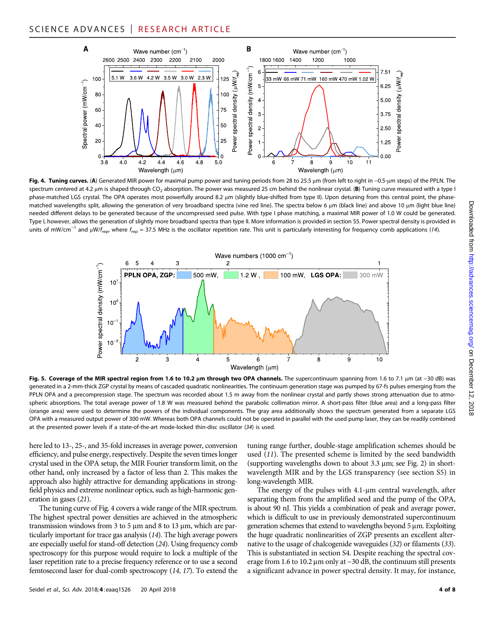

Fig. 4. Tuning curves. (A) Generated MIR power for maximal pump power and tuning periods from 28 to 25.5 µm (from left to right in −0.5-µm steps) of the PPLN. The spectrum centered at 4.2 µm is shaped through CO<sub>2</sub> absorption. The power was measured 25 cm behind the nonlinear crystal. (B) Tuning curve measured with a type I phase-matched LGS crystal. The OPA operates most powerfully around 8.2 µm (slightly blue-shifted from type II). Upon detuning from this central point, the phasematched wavelengths split, allowing the generation of very broadband spectra (vine red line). The spectra below 6 µm (black line) and above 10 µm (light blue line) needed different delays to be generated because of the uncompressed seed pulse. With type I phase matching, a maximal MIR power of 1.0 W could be generated. Type I, however, allows the generation of slightly more broadband spectra than type II. More information is provided in section S5. Power spectral density is provided in units of mW/cm<sup>-1</sup> and μW/f<sub>rep</sub>, where f<sub>rep</sub> = 37.5 MHz is the oscillator repetition rate. This unit is particularly interesting for frequency comb applications (14).



Fig. 5. Coverage of the MIR spectral region from 1.6 to 10.2 µm through two OPA channels. The supercontinuum spanning from 1.6 to 7.1 µm (at −30 dB) was generated in a 2-mm-thick ZGP crystal by means of cascaded quadratic nonlinearities. The continuum generation stage was pumped by 67-fs pulses emerging from the PPLN OPA and a precompression stage. The spectrum was recorded about 1.5 m away from the nonlinear crystal and partly shows strong attenuation due to atmospheric absorptions. The total average power of 1.8 W was measured behind the parabolic collimation mirror. A short-pass filter (blue area) and a long-pass filter (orange area) were used to determine the powers of the individual components. The gray area additionally shows the spectrum generated from a separate LGS OPA with a measured output power of 300 mW. Whereas both OPA channels could not be operated in parallel with the used pump laser, they can be readily combined at the presented power levels if a state-of-the-art mode-locked thin-disc oscillator (34) is used.

here led to 13-, 25-, and 35-fold increases in average power, conversion efficiency, and pulse energy, respectively. Despite the seven times longer crystal used in the OPA setup, the MIR Fourier transform limit, on the other hand, only increased by a factor of less than 2. This makes the approach also highly attractive for demanding applications in strongfield physics and extreme nonlinear optics, such as high-harmonic generation in gases (21).

The tuning curve of Fig. 4 covers a wide range of the MIR spectrum. The highest spectral power densities are achieved in the atmospheric transmission windows from 3 to 5  $\mu$ m and 8 to 13  $\mu$ m, which are particularly important for trace gas analysis (14). The high average powers are especially useful for stand-off detection (24). Using frequency comb spectroscopy for this purpose would require to lock a multiple of the laser repetition rate to a precise frequency reference or to use a second femtosecond laser for dual-comb spectroscopy (14, 17). To extend the

Seidel et al., Sci. Adv. 2018;4: eaaq1526 20 April 2018 4 of 8

tuning range further, double-stage amplification schemes should be used (11). The presented scheme is limited by the seed bandwidth (supporting wavelengths down to about  $3.3 \mu m$ ; see Fig. 2) in shortwavelength MIR and by the LGS transparency (see section S5) in long-wavelength MIR.

The energy of the pulses with  $4.1$ - $\mu$ m central wavelength, after separating them from the amplified seed and the pump of the OPA, is about 90 nJ. This yields a combination of peak and average power, which is difficult to use in previously demonstrated supercontinuum generation schemes that extend to wavelengths beyond  $5 \mu m$ . Exploiting the huge quadratic nonlinearities of ZGP presents an excellent alternative to the usage of chalcogenide waveguides (32) or filaments (33). This is substantiated in section S4. Despite reaching the spectral coverage from 1.6 to 10.2 μm only at −30 dB, the continuum still presents a significant advance in power spectral density. It may, for instance,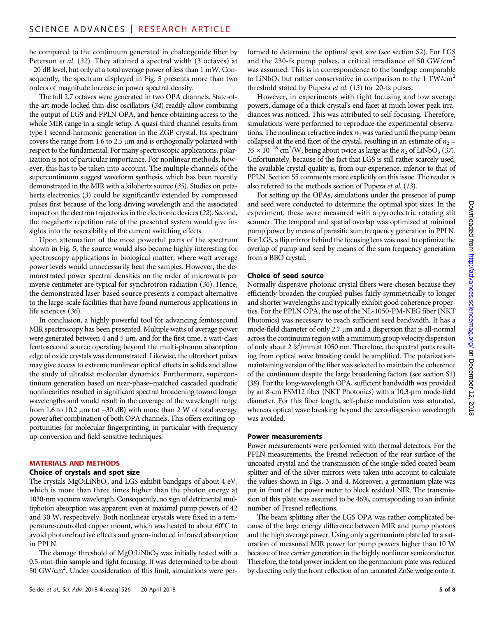be compared to the continuum generated in chalcogenide fiber by Peterson et al. (32). They attained a spectral width (3 octaves) at −20 dB level, but only at a total average power of less than 1 mW. Consequently, the spectrum displayed in Fig. 5 presents more than two orders of magnitude increase in power spectral density.

The full 2.7 octaves were generated in two OPA channels. State-ofthe-art mode-locked thin-disc oscillators (34) readily allow combining the output of LGS and PPLN OPA, and hence obtaining access to the whole MIR range in a single setup. A quasi-third channel results from type I second-harmonic generation in the ZGP crystal. Its spectrum covers the range from 1.6 to 2.5  $\mu$ m and is orthogonally polarized with respect to the fundamental. For many spectroscopic applications, polarization is not of particular importance. For nonlinear methods, however, this has to be taken into account. The multiple channels of the supercontinuum suggest waveform synthesis, which has been recently demonstrated in the MIR with a kilohertz source (35). Studies on petahertz electronics (3) could be significantly extended by compressed pulses first because of the long driving wavelength and the associated impact on the electron trajectories in the electronic devices (22). Second, the megahertz repetition rate of the presented system would give insights into the reversibility of the current switching effects.

Upon attenuation of the most powerful parts of the spectrum shown in Fig. 5, the source would also become highly interesting for spectroscopy applications in biological matter, where watt average power levels would unnecessarily heat the samples. However, the demonstrated power spectral densities on the order of microwatts per inverse centimeter are typical for synchrotron radiation (36). Hence, the demonstrated laser-based source presents a compact alternative to the large-scale facilities that have found numerous applications in life sciences (36).

In conclusion, a highly powerful tool for advancing femtosecond MIR spectroscopy has been presented. Multiple watts of average power were generated between 4 and 5  $\mu$ m, and for the first time, a watt-class femtosecond source operating beyond the multi-phonon absorption edge of oxide crystals was demonstrated. Likewise, the ultrashort pulses may give access to extreme nonlinear optical effects in solids and allow the study of ultrafast molecular dynamics. Furthermore, supercontinuum generation based on near-phase–matched cascaded quadratic nonlinearities resulted in significant spectral broadening toward longer wavelengths and would result in the coverage of the wavelength range from 1.6 to 10.2 μm (at −30 dB) with more than 2 W of total average power after combination of both OPA channels. This offers exciting opportunities for molecular fingerprinting, in particular with frequency up-conversion and field-sensitive techniques.

#### MATERIALS AND METHODS

#### Choice of crystals and spot size

The crystals  $MgO:LiNbO<sub>3</sub>$  and LGS exhibit bandgaps of about 4 eV, which is more than three times higher than the photon energy at 1030-nm vacuum wavelength. Consequently, no sign of detrimental multiphoton absorption was apparent even at maximal pump powers of 42 and 30 W, respectively. Both nonlinear crystals were fixed in a temperature-controlled copper mount, which was heated to about 60°C to avoid photorefractive effects and green-induced infrared absorption in PPLN.

The damage threshold of  $MgO:LiNbO<sub>3</sub>$  was initially tested with a 0.5-mm-thin sample and tight focusing. It was determined to be about 50 GW/cm2 . Under consideration of this limit, simulations were per-

Seidel et al., Sci. Adv. 2018; 4: eaaq1526 20 April 2018 5 of 8

formed to determine the optimal spot size (see section S2). For LGS and the 230-fs pump pulses, a critical irradiance of 50  $GW/cm<sup>2</sup>$ was assumed. This is in correspondence to the bandgap comparable to LiNbO<sub>3</sub> but rather conservative in comparison to the 1 TW/cm<sup>2</sup> threshold stated by Pupeza et al. (13) for 20-fs pulses.

However, in experiments with tight focusing and low average powers, damage of a thick crystal's end facet at much lower peak irradiances was noticed. This was attributed to self-focusing. Therefore, simulations were performed to reproduce the experimental observations. The nonlinear refractive index  $n_2$  was varied until the pump beam collapsed at the end facet of the crystal, resulting in an estimate of  $n_2$  =  $35 \times 10^{-16}$  cm<sup>2</sup>/W, being about twice as large as the  $n_2$  of LiNbO<sub>3</sub> (37). Unfortunately, because of the fact that LGS is still rather scarcely used, the available crystal quality is, from our experience, inferior to that of PPLN. Section S5 comments more explicitly on this issue. The reader is also referred to the methods section of Pupeza et al. (13).

For setting up the OPAs, simulations under the presence of pump and seed were conducted to determine the optimal spot sizes. In the experiment, these were measured with a pyroelectric rotating slit scanner. The temporal and spatial overlap was optimized at minimal pump power by means of parasitic sum frequency generation in PPLN. For LGS, a flip mirror behind the focusing lens was used to optimize the overlap of pump and seed by means of the sum frequency generation from a BBO crystal.

#### Choice of seed source

Normally dispersive photonic crystal fibers were chosen because they efficiently broaden the coupled pulses fairly symmetrically to longer and shorter wavelengths and typically exhibit good coherence properties. For the PPLN OPA, the use of the NL-1050-PM-NEG fiber (NKT Photonics) was necessary to reach sufficient seed bandwidth. It has a mode-field diameter of only  $2.7 \mu m$  and a dispersion that is all-normal across the continuum region with a minimum group velocity dispersion of only about 2 fs<sup>2</sup>/mm at 1050 nm. Therefore, the spectral parts resulting from optical wave breaking could be amplified. The polarizationmaintaining version of the fiber was selected to maintain the coherence of the continuum despite the large broadening factors (see section S1) (38). For the long-wavelength OPA, sufficient bandwidth was provided by an 8-cm ESM12 fiber (NKT Photonics) with a 10.3-um mode-field diameter. For this fiber length, self-phase modulation was saturated, whereas optical wave breaking beyond the zero-dispersion wavelength was avoided.

#### Power measurements

Power measurements were performed with thermal detectors. For the PPLN measurements, the Fresnel reflection of the rear surface of the uncoated crystal and the transmission of the single-sided coated beam splitter and of the silver mirrors were taken into account to calculate the values shown in Figs. 3 and 4. Moreover, a germanium plate was put in front of the power meter to block residual NIR. The transmission of this plate was assumed to be 46%, corresponding to an infinite number of Fresnel reflections.

The beam splitting after the LGS OPA was rather complicated because of the large energy difference between MIR and pump photons and the high average power. Using only a germanium plate led to a saturation of measured MIR power for pump powers higher than 10 W because of free carrier generation in the highly nonlinear semiconductor. Therefore, the total power incident on the germanium plate was reduced by directing only the front reflection of an uncoated ZnSe wedge onto it.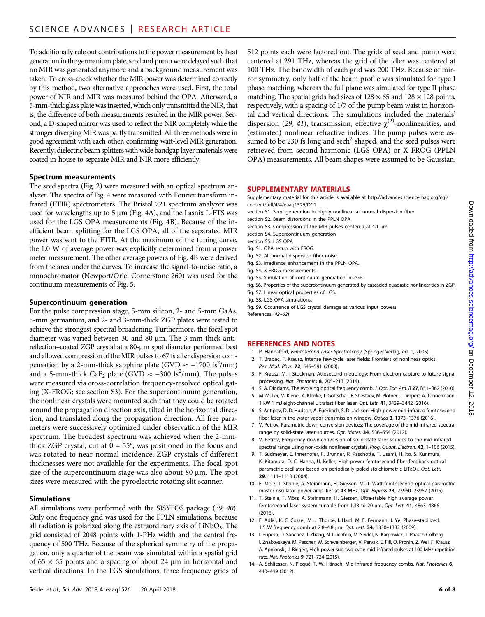To additionally rule out contributions to the power measurement by heat generation in the germanium plate, seed and pump were delayed such that no MIR was generated anymore and a background measurement was taken. To cross-check whether the MIR power was determined correctly by this method, two alternative approaches were used. First, the total power of NIR and MIR was measured behind the OPA. Afterward, a 5-mm-thick glass plate was inserted, which only transmitted the NIR, that is, the difference of both measurements resulted in the MIR power. Second, a D-shaped mirror was used to reflect the NIR completely while the stronger diverging MIR was partly transmitted. All three methods were in good agreement with each other, confirming watt-level MIR generation. Recently, dielectric beam splitters with wide bandgap layer materials were coated in-house to separate MIR and NIR more efficiently.

### Spectrum measurements

The seed spectra (Fig. 2) were measured with an optical spectrum analyzer. The spectra of Fig. 4 were measured with Fourier transform infrared (FTIR) spectrometers. The Bristol 721 spectrum analyzer was used for wavelengths up to  $5 \mu m$  (Fig. 4A), and the Lasnix L-FTS was used for the LGS OPA measurements (Fig. 4B). Because of the inefficient beam splitting for the LGS OPA, all of the separated MIR power was sent to the FTIR. At the maximum of the tuning curve, the 1.0 W of average power was explicitly determined from a power meter measurement. The other average powers of Fig. 4B were derived from the area under the curves. To increase the signal-to-noise ratio, a monochromator (Newport/Oriel Cornerstone 260) was used for the continuum measurements of Fig. 5.

#### Supercontinuum generation

For the pulse compression stage, 5-mm silicon, 2- and 5-mm GaAs, 5-mm germanium, and 2- and 3-mm-thick ZGP plates were tested to achieve the strongest spectral broadening. Furthermore, the focal spot diameter was varied between 30 and 80 µm. The 3-mm-thick antireflection–coated ZGP crystal at a 80-µm spot diameter performed best and allowed compression of the MIR pulses to 67 fs after dispersion compensation by a 2-mm-thick sapphire plate (GVD  $\approx -1700$  fs<sup>2</sup>/mm) and a 5-mm-thick CaF<sub>2</sub> plate (GVD ≈ –300 fs<sup>2</sup>/mm). The pulses were measured via cross-correlation frequency-resolved optical gating (X-FROG; see section S3). For the supercontinuum generation, the nonlinear crystals were mounted such that they could be rotated around the propagation direction axis, tilted in the horizontal direction, and translated along the propagation direction. All free parameters were successively optimized under observation of the MIR spectrum. The broadest spectrum was achieved when the 2-mmthick ZGP crystal, cut at  $\theta = 55^{\circ}$ , was positioned in the focus and was rotated to near-normal incidence. ZGP crystals of different thicknesses were not available for the experiments. The focal spot size of the supercontinuum stage was also about 80 µm. The spot sizes were measured with the pyroelectric rotating slit scanner.

# Simulations

All simulations were performed with the SISYFOS package (39, 40). Only one frequency grid was used for the PPLN simulations, because all radiation is polarized along the extraordinary axis of  $LiNbO<sub>3</sub>$ . The grid consisted of 2048 points with 1-PHz width and the central frequency of 500 THz. Because of the spherical symmetry of the propagation, only a quarter of the beam was simulated within a spatial grid of  $65 \times 65$  points and a spacing of about 24  $\mu$ m in horizontal and vertical directions. In the LGS simulations, three frequency grids of

Seidel et al., Sci. Adv. 2018; 4: eaaq1526 20 April 2018 6 of 8

512 points each were factored out. The grids of seed and pump were centered at 291 THz, whereas the grid of the idler was centered at 100 THz. The bandwidth of each grid was 200 THz. Because of mirror symmetry, only half of the beam profile was simulated for type I phase matching, whereas the full plane was simulated for type II phase matching. The spatial grids had sizes of  $128 \times 65$  and  $128 \times 128$  points, respectively, with a spacing of 1/7 of the pump beam waist in horizontal and vertical directions. The simulations included the materials' dispersion (29, 41), transmission, effective  $\chi$ <sup>(2)</sup>-nonlinearities, and (estimated) nonlinear refractive indices. The pump pulses were assumed to be 230 fs long and sech<sup>2</sup> shaped, and the seed pulses were retrieved from second-harmonic (LGS OPA) or X-FROG (PPLN OPA) measurements. All beam shapes were assumed to be Gaussian.

#### SUPPLEMENTARY MATERIALS

Supplementary material for this article is available at [http://advances.sciencemag.org/cgi/](http://advances.sciencemag.org/cgi/content/full/4/4/eaaq1526/DC1) [content/full/4/4/eaaq1526/DC1](http://advances.sciencemag.org/cgi/content/full/4/4/eaaq1526/DC1)

- section S1. Seed generation in highly nonlinear all-normal dispersion fiber
- section S2. Beam distortions in the PPLN OPA
- section S3. Compression of the MIR pulses centered at 4.1 um
- section S4. Supercontinuum generation
- section S5. LGS OPA
- fig. S1. OPA setup with FROG.
- fig. S2. All-normal dispersion fiber noise.
- fig. S3. Irradiance enhancement in the PPLN OPA.
- fig. S4. X-FROG measurements.
- fig. S5. Simulation of continuum generation in ZGP.
- fig. S6. Properties of the supercontinuum generated by cascaded quadratic nonlinearities in ZGP. fig. S7. Linear optical properties of LGS.
- fig. S8. LGS OPA simulations.
- fig. S9. Occurrence of LGS crystal damage at various input powers.
- References (42–62)

#### REFERENCES AND NOTES

- 1. P. Hannaford, Femtosecond Laser Spectroscopy (Springer-Verlag, ed. 1, 2005).
- 2. T. Brabec, F. Krausz, Intense few-cycle laser fields: Frontiers of nonlinear optics. Rev. Mod. Phys. 72, 545–591 (2000).
- 3. F. Krausz, M. I. Stockman, Attosecond metrology: From electron capture to future signal processing. Nat. Photonics 8, 205–213 (2014).
- 4. S. A. Diddams, The evolving optical frequency comb. J. Opt. Soc. Am. B 27, B51-B62 (2010).
- 5. M. Müller, M. Kienel, A. Klenke, T. Gottschall, E. Shestaev, M. Plötner, J. Limpert, A. Tünnermann, 1 kW 1 mJ eight-channel ultrafast fiber laser. Opt. Lett. 41, 3439–3442 (2016).
- 6. S. Antipov, D. D. Hudson, A. Fuerbach, S. D. Jackson, High-power mid-infrared femtosecond fiber laser in the water vapor transmission window. Optica 3, 1373–1376 (2016).
- 7. V. Petrov, Parametric down-conversion devices: The coverage of the mid-infrared spectral range by solid-state laser sources. Opt. Mater. 34, 536–554 (2012).
- 8. V. Petrov, Frequency down-conversion of solid-state laser sources to the mid-infrared spectral range using non-oxide nonlinear crystals. Prog. Quant. Electron. 42, 1-106 (2015).
- 9. T. Südmeyer, E. Innerhofer, F. Brunner, R. Paschotta, T. Usami, H. Ito, S. Kurimura, K. Kitamura, D. C. Hanna, U. Keller, High-power femtosecond fiber-feedback optical parametric oscillator based on periodically poled stoichiometric LiTaO<sub>3</sub>. Opt. Lett. 29, 1111–1113 (2004).
- 10. F. Mörz, T. Steinle, A. Steinmann, H. Giessen, Multi-Watt femtosecond optical parametric master oscillator power amplifier at 43 MHz. Opt. Express 23, 23960–23967 (2015).
- 11. T. Steinle, F. Mörz, A. Steinmann, H. Giessen, Ultra-stable high average power femtosecond laser system tunable from 1.33 to 20 µm. Opt. Lett. 41, 4863-4866  $(2016)$
- 12. F. Adler, K. C. Cossel, M. J. Thorpe, I. Hartl, M. E. Fermann, J. Ye, Phase-stabilized, 1.5 W frequency comb at 2.8-4.8 µm. Opt. Lett. 34, 1330-1332 (2009).
- 13. I. Pupeza, D. Sanchez, J. Zhang, N. Lilienfein, M. Seidel, N. Karpowicz, T. Paasch-Colberg, I. Znakovskaya, M. Pescher, W. Schweinberger, V. Pervak, E. Fill, O. Pronin, Z. Wei, F. Krausz, A. Apolonski, J. Biegert, High-power sub-two-cycle mid-infrared pulses at 100 MHz repetition rate. Nat. Photonics 9, 721–724 (2015).
- 14. A. Schliesser, N. Picqué, T. W. Hänsch, Mid-infrared frequency combs. Nat. Photonics 6, 440–449 (2012).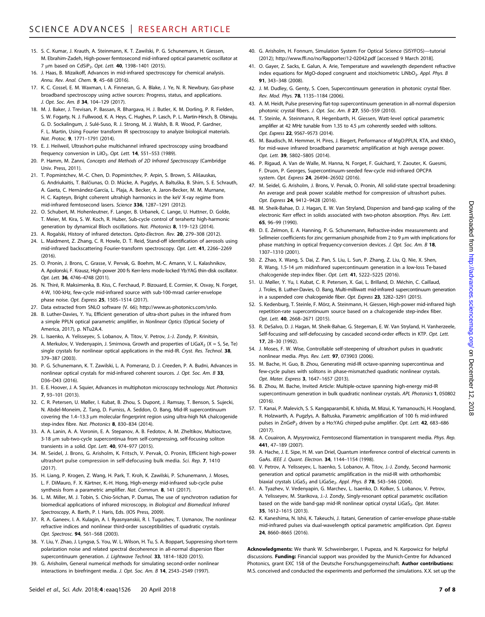- 15. S. C. Kumar, J. Krauth, A. Steinmann, K. T. Zawilski, P. G. Schunemann, H. Giessen, M. Ebrahim-Zadeh, High-power femtosecond mid-infrared optical parametric oscillator at 7 um based on CdSiP<sub>2</sub>. Opt. Lett. **40**, 1398-1401 (2015).
- 16. J. Haas, B. Mizaikoff, Advances in mid-infrared spectroscopy for chemical analysis. Annu. Rev. Anal. Chem. 9, 45–68 (2016).
- 17. K. C. Cossel, E. M. Waxman, I. A. Finneran, G. A. Blake, J. Ye, N. R. Newbury, Gas-phase broadband spectroscopy using active sources: Progress, status, and applications. J. Opt. Soc. Am. B 34, 104-129 (2017).
- 18. M. J. Baker, J. Trevisan, P. Bassan, R. Bhargava, H. J. Butler, K. M. Dorling, P. R. Fielden, S. W. Fogarty, N. J. Fullwood, K. A. Heys, C. Hughes, P. Lasch, P. L. Martin-Hirsch, B. Obinaju, G. D. Sockalingum, J. Sulé-Suso, R. J. Strong, M. J. Walsh, B. R. Wood, P. Gardner, F. L. Martin, Using Fourier transform IR spectroscopy to analyze biological materials. Nat. Protoc. 9, 1771–1791 (2014).
- 19. E. J. Heilweil, Ultrashort-pulse multichannel infrared spectroscopy using broadband frequency conversion in LiIO<sub>3</sub>. Opt. Lett. 14, 551-553 (1989).
- 20. P. Hamm, M. Zanni, Concepts and Methods of 2D Infrared Spectroscopy (Cambridge Univ. Press, 2011).
- 21. T. Popmintchev, M.-C. Chen, D. Popmintchev, P. Arpin, S. Brown, S. Ališauskas, G. Andriukaitis, T. Balčiunas, O. D. Mücke, A. Pugzlys, A. Baltuška, B. Shim, S. E. Schrauth, A. Gaeta, C. Hernández-García, L. Plaja, A. Becker, A. Jaron-Becker, M. M. Murnane, H. C. Kapteyn, Bright coherent ultrahigh harmonics in the keV X-ray regime from mid-infrared femtosecond lasers. Science 336, 1287–1291 (2012).
- 22. O. Schubert, M. Hohenleutner, F. Langer, B. Urbanek, C. Lange, U. Huttner, D. Golde, T. Meier, M. Kira, S. W. Koch, R. Huber, Sub-cycle control of terahertz high-harmonic generation by dynamical Bloch oscillations. Nat. Photonics 8, 119–123 (2014).
- 23. A. Rogalski, History of infrared detectors. Opto-Electron. Rev. 20, 279-308 (2012).
- 24. L. Maidment, Z. Zhang, C. R. Howle, D. T. Reid, Stand-off identification of aerosols using mid-infrared backscattering Fourier-transform spectroscopy. Opt. Lett. 41, 2266–2269  $(2016)$
- 25. O. Pronin, J. Brons, C. Grasse, V. Pervak, G. Boehm, M.-C. Amann, V. L. Kalashnikov, A. Apolonski, F. Krausz, High-power 200 fs Kerr-lens mode-locked Yb:YAG thin-disk oscillator. Opt. Lett. 36, 4746–4748 (2011).
- 26. N. Thiré, R. Maksimenka, B. Kiss, C. Ferchaud, P. Bizouard, E. Cormier, K. Osvay, N. Forget, 4-W, 100-kHz, few-cycle mid-infrared source with sub-100-mrad carrier-envelope phase noise. Opt. Express 25, 1505–1514 (2017).
- 27. Data extracted from SNLO software (V. 66); [http://www.as-photonics.com/snlo.](http://www.as-photonics.com/snlo)
- 28. B. Luther-Davies, Y. Yu, Efficient generation of ultra-short pulses in the infrared from a simple PPLN optical parametric amplifier, in Nonlinear Optics (Optical Society of America, 2017), p. NTu2A.4.
- 29. L. Isaenko, A. Yelisseyev, S. Lobanov, A. Titov, V. Petrov, J.-J. Zondy, P. Krinitsin, A. Merkulov, V. Vedenyapin, J. Smirnova, Growth and properties of LiGaX<sub>2</sub> (X = S, Se, Te) single crystals for nonlinear optical applications in the mid-IR. Cryst. Res. Technol. 38, 379–387 (2003).
- 30. P. G. Schunemann, K. T. Zawilski, L. A. Pomeranz, D. J. Creeden, P. A. Budni, Advances in nonlinear optical crystals for mid-infrared coherent sources. J. Opt. Soc. Am. B 33, D36–D43 (2016).
- 31. E. E. Hoover, J. A. Squier, Advances in multiphoton microscopy technology. Nat. Photonics 7, 93–101 (2013).
- 32. C. R. Petersen, U. Møller, I. Kubat, B. Zhou, S. Dupont, J. Ramsay, T. Benson, S. Sujecki, N. Abdel-Moneim, Z. Tang, D. Furniss, A. Seddon, O. Bang, Mid-IR supercontinuum covering the 1.4-13.3 µm molecular fingerprint region using ultra-high NA chalcogenide step-index fibre. Nat. Photonics 8, 830–834 (2014).
- 33. A. A. Lanin, A. A. Voronin, E. A. Stepanov, A. B. Fedotov, A. M. Zheltikov, Multioctave,  $3-18$  µm sub-two-cycle supercontinua from self-compressing, self-focusing soliton transients in a solid. Opt. Lett. 40, 974-977 (2015).
- 34. M. Seidel, J. Brons, G. Arisholm, K. Fritsch, V. Pervak, O. Pronin, Efficient high-power ultrashort pulse compression in self-defocusing bulk media. Sci. Rep. 7, 1410 (2017).
- 35. H. Liang, P. Krogen, Z. Wang, H. Park, T. Kroh, K. Zawilski, P. Schunemann, J. Moses, L. F. DiMauro, F. X. Kärtner, K.-H. Hong, High-energy mid-infrared sub-cycle pulse synthesis from a parametric amplifier. Nat. Commun. 8, 141 (2017).
- 36. L. M. Miller, M. J. Tobin, S. Chio-Srichan, P. Dumas, The use of synchrotron radiation for biomedical applications of infrared microscopy, in Biological and Biomedical Infrared Spectroscopy, A. Barth, P. I. Haris, Eds. (IOS Press, 2009).
- 37. R. A. Ganeev, I. A. Kulagin, A. I. Ryasnyanskii, R. I. Tugushev, T. Usmanov, The nonlinear refractive indices and nonlinear third-order susceptibilities of quadratic crystals. Opt. Spectrosc. **94**, 561-568 (2003).
- 38. Y. Liu, Y. Zhao, J. Lyngsø, S. You, W. L. Wilson, H. Tu, S. A. Boppart, Suppressing short-term polarization noise and related spectral decoherence in all-normal dispersion fiber supercontinuum generation. J. Lightwave Technol. 33, 1814-1820 (2015).
- 39. G. Arisholm, General numerical methods for simulating second-order nonlinear interactions in birefringent media. J. Opt. Soc. Am. B 14, 2543–2549 (1997).
- 40. G. Arisholm, H. Fonnum, Simulation System For Optical Science (SISYFOS)—tutorial (2012);<http://www.ffi.no/no/Rapporter/12-02042.pdf> [accessed 9 March 2018].
- 41. O. Gayer, Z. Sacks, E. Galun, A. Arie, Temperature and wavelength dependent refractive index equations for MgO-doped congruent and stoichiometric LiNbO<sub>3</sub>. Appl. Phys. B 91, 343–348 (2008).
- 42. J. M. Dudley, G. Genty, S. Coen, Supercontinuum generation in photonic crystal fiber. Rev. Mod. Phys. 78, 1135–1184 (2006).
- 43. A. M. Heidt, Pulse preserving flat-top supercontinuum generation in all-normal dispersion photonic crystal fibers. J. Opt. Soc. Am. B 27, 550–559 (2010).
- 44. T. Steinle, A. Steinmann, R. Hegenbarth, H. Giessen, Watt-level optical parametric amplifier at 42 MHz tunable from 1.35 to 4.5  $\mu$ m coherently seeded with solitons. Opt. Express 22, 9567–9573 (2014).
- 45. M. Baudisch, M. Hemmer, H. Pires, J. Biegert, Performance of MgO:PPLN, KTA, and KNbO<sub>3</sub> for mid-wave infrared broadband parametric amplification at high average power. Opt. Lett. 39, 5802–5805 (2014).
- 46. P. Rigaud, A. Van de Walle, M. Hanna, N. Forget, F. Guichard, Y. Zaouter, K. Guesmi, F. Druon, P. Georges, Supercontinuum-seeded few-cycle mid-infrared OPCPA system. Opt. Express 24, 26494–26502 (2016).
- 47. M. Seidel, G. Arisholm, J. Brons, V. Pervak, O. Pronin, All solid-state spectral broadening: An average and peak power scalable method for compression of ultrashort pulses. Opt. Express 24, 9412–9428 (2016).
- 48. M. Sheik-Bahae, D. J. Hagan, E. W. Van Stryland, Dispersion and band-gap scaling of the electronic Kerr effect in solids associated with two-photon absorption. Phys. Rev. Lett. 65, 96–99 (1990).
- 49. D. E. Zelmon, E. A. Hanning, P. G. Schunemann, Refractive-index measurements and Sellmeier coefficients for zinc germanium phosphide from 2 to 9  $\mu$ m with implications for phase matching in optical frequency-conversion devices. J. Opt. Soc. Am. B 18, 1307–1310 (2001).
- 50. Z. Zhao, X. Wang, S. Dai, Z. Pan, S. Liu, L. Sun, P. Zhang, Z. Liu, Q. Nie, X. Shen, R. Wang, 1.5-14 µm midinfrared supercontinuum generation in a low-loss Te-based chalcogenide step-index fiber. Opt. Lett. 41, 5222–5225 (2016).
- 51. U. Møller, Y. Yu, I. Kubat, C. R. Petersen, X. Gai, L. Brilland, D. Méchin, C. Caillaud, J. Troles, B. Luther-Davies, O. Bang, Multi-milliwatt mid-infrared supercontinuum generation in a suspended core chalcogenide fiber. Opt. Express 23, 3282-3291 (2015).
- 52. S. Kedenburg, T. Steinle, F. Mörz, A. Steinmann, H. Giessen, High-power mid-infrared high repetition-rate supercontinuum source based on a chalcogenide step-index fiber. Opt. Lett. 40, 2668–2671 (2015).
- 53. R. DeSalvo, D. J. Hagan, M. Sheik-Bahae, G. Stegeman, E. W. Van Stryland, H. Vanherzeele, Self-focusing and self-defocusing by cascaded second-order effects in KTP. Opt. Lett. 17, 28–30 (1992).
- 54. J. Moses, F. W. Wise, Controllable self-steepening of ultrashort pulses in quadratic nonlinear media. Phys. Rev. Lett. 97, 073903 (2006).
- 55. M. Bache, H. Guo, B. Zhou, Generating mid-IR octave-spanning supercontinua and few-cycle pulses with solitons in phase-mismatched quadratic nonlinear crystals. Opt. Mater. Express 3, 1647–1657 (2013).
- 56. B. Zhou, M. Bache, Invited Article: Multiple-octave spanning high-energy mid-IR supercontinuum generation in bulk quadratic nonlinear crystals. APL Photonics 1, 050802 (2016).
- 57. T. Kanai, P. Malevich, S. S. Kangaparambil, K. Ishida, M. Mizui, K. Yamanouchi, H. Hoogland, R. Holzwarth, A. Pugzlys, A. Baltuska, Parametric amplification of 100 fs mid-infrared pulses in ZnGeP<sub>2</sub> driven by a Ho:YAG chirped-pulse amplifier. Opt. Lett. 42, 683-686 (2017).
- 58. A. Couairon, A. Mysyrowicz, Femtosecond filamentation in transparent media. Phys. Rep. 441, 47–189 (2007).
- 59. A. Hache, J. E. Sipe, H. M. van Driel, Quantum interference control of electrical currents in GaAs. IEEE J. Quant. Electron. 34, 1144–1154 (1998).
- 60. V. Petrov, A. Yelisseyev, L. Isaenko, S. Lobanov, A. Titov, J.-J. Zondy, Second harmonic generation and optical parametric amplification in the mid-IR with orthorhombic biaxial crystals LiGaS<sub>2</sub> and LiGaSe<sub>2</sub>. Appl. Phys. B 78, 543-546 (2004).
- 61. A. Tyazhev, V. Vedenyapin, G. Marchev, L. Isaenko, D. Kolker, S. Lobanov, V. Petrov, A. Yelisseyev, M. Starikova, J.-J. Zondy, Singly-resonant optical parametric oscillation based on the wide band-gap mid-IR nonlinear optical crystal LiGaS<sub>2</sub>. Opt. Mater. 35, 1612–1615 (2013).
- 62. K. Kaneshima, N. Ishii, K. Takeuchi, J. Itatani, Generation of carrier-envelope phase-stable mid-infrared pulses via dual-wavelength optical parametric amplification. Opt. Express 24, 8660–8665 (2016).

Acknowledgments: We thank W. Schweinberger, I. Pupeza, and N. Karpowicz for helpful discussions. Funding: Financial support was provided by the Munich-Centre for Advanced Photonics, grant EXC 158 of the Deutsche Forschungsgemeinschaft. Author contributions: M.S. conceived and conducted the experiments and performed the simulations. X.X. set up the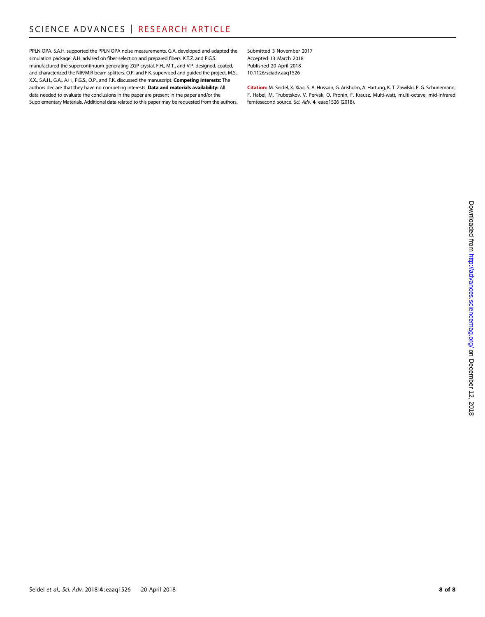PPLN OPA. S.A.H. supported the PPLN OPA noise measurements. G.A. developed and adapted the simulation package. A.H. advised on fiber selection and prepared fibers. K.T.Z. and P.G.S. manufactured the supercontinuum-generating ZGP crystal. F.H., M.T., and V.P. designed, coated, and characterized the NIR/MIR beam splitters. O.P. and F.K. supervised and guided the project. M.S., X.X., S.A.H., G.A., A.H., P.G.S., O.P., and F.K. discussed the manuscript. Competing interests: The authors declare that they have no competing interests. Data and materials availability: All data needed to evaluate the conclusions in the paper are present in the paper and/or the Supplementary Materials. Additional data related to this paper may be requested from the authors.

Submitted 3 November 2017 Accepted 13 March 2018 Published 20 April 2018 10.1126/sciadv.aaq1526

Citation: M. Seidel, X. Xiao, S. A. Hussain, G. Arisholm, A. Hartung, K. T. Zawilski, P. G. Schunemann, F. Habel, M. Trubetskov, V. Pervak, O. Pronin, F. Krausz, Multi-watt, multi-octave, mid-infrared femtosecond source. Sci. Adv. 4, eaaq1526 (2018).